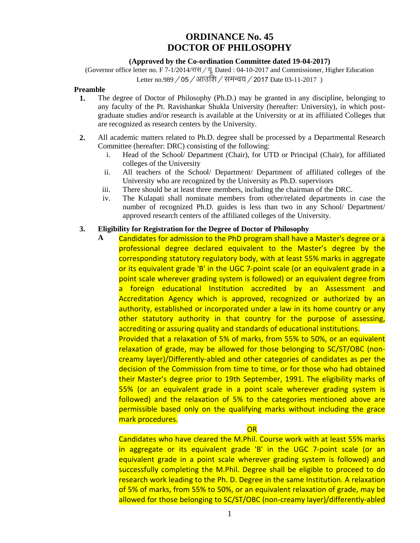# **ORDINANCE No. 45 DOCTOR OF PHILOSOPHY**

## **(Approved by the Co-ordination Committee dated 19-04-2017)**

(Governor office letter no. F 7-1/2014/ $\forall$ H $\forall$  Dated : 04-10-2017 and Commissioner, Higher Education Letter no.989 / 05 / आउशि / समन्वय / 2017 Date 03-11-2017 )

## **Preamble**

- **1.** The degree of Doctor of Philosophy (Ph.D.) may be granted in any discipline, belonging to any faculty of the Pt. Ravishankar Shukla University (hereafter: University), in which postgraduate studies and/or research is available at the University or at its affiliated Colleges that are recognized as research centers by the University.
- **2.** All academic matters related to Ph.D. degree shall be processed by a Departmental Research Committee (hereafter: DRC) consisting of the following:
	- i. Head of the School/ Department (Chair), for UTD or Principal (Chair), for affiliated colleges of the University
	- ii. All teachers of the School/ Department/ Department of affiliated colleges of the University who are recognized by the University as Ph.D. supervisors
	- iii. There should be at least three members, including the chairman of the DRC.
	- iv. The Kulapati shall nominate members from other/related departments in case the number of recognized Ph.D. guides is less than two in any School/ Department/ approved research centers of the affiliated colleges of the University.

## **3. Eligibility for Registration for the Degree of Doctor of Philosophy**

**A** Candidates for admission to the PhD program shall have a Master's degree or a professional degree declared equivalent to the Master's degree by the corresponding statutory regulatory body, with at least 55% marks in aggregate or its equivalent grade 'B' in the UGC 7-point scale (or an equivalent grade in a point scale wherever grading system is followed) or an equivalent degree from a foreign educational Institution accredited by an Assessment and Accreditation Agency which is approved, recognized or authorized by an authority, established or incorporated under a law in its home country or any other statutory authority in that country for the purpose of assessing, accrediting or assuring quality and standards of educational institutions. Provided that a relaxation of 5% of marks, from 55% to 50%, or an equivalent relaxation of grade, may be allowed for those belonging to SC/ST/OBC (noncreamy layer)/Differently-abled and other categories of candidates as per the decision of the Commission from time to time, or for those who had obtained their Master's degree prior to 19th September, 1991. The eligibility marks of 55% (or an equivalent grade in a point scale wherever grading system is followed) and the relaxation of 5% to the categories mentioned above are permissible based only on the qualifying marks without including the grace mark procedures.

OR

Candidates who have cleared the M.Phil. Course work with at least 55% marks in aggregate or its equivalent grade 'B' in the UGC 7-point scale (or an equivalent grade in a point scale wherever grading system is followed) and successfully completing the M.Phil. Degree shall be eligible to proceed to do research work leading to the Ph. D. Degree in the same Institution. A relaxation of 5% of marks, from 55% to 50%, or an equivalent relaxation of grade, may be allowed for those belonging to SC/ST/OBC (non-creamy layer)/differently-abled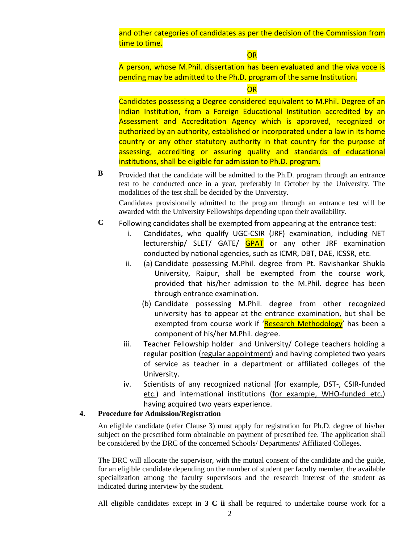and other categories of candidates as per the decision of the Commission from time to time.

**OR** 

A person, whose M.Phil. dissertation has been evaluated and the viva voce is pending may be admitted to the Ph.D. program of the same Institution.

### **OR**

Candidates possessing a Degree considered equivalent to M.Phil. Degree of an Indian Institution, from a Foreign Educational Institution accredited by an Assessment and Accreditation Agency which is approved, recognized or authorized by an authority, established or incorporated under a law in its home country or any other statutory authority in that country for the purpose of assessing, accrediting or assuring quality and standards of educational institutions, shall be eligible for admission to Ph.D. program.

**B** Provided that the candidate will be admitted to the Ph.D. program through an entrance test to be conducted once in a year, preferably in October by the University. The modalities of the test shall be decided by the University.

Candidates provisionally admitted to the program through an entrance test will be awarded with the University Fellowships depending upon their availability.

- **C** Following candidates shall be exempted from appearing at the entrance test:
	- i. Candidates, who qualify UGC-CSIR (JRF) examination, including NET lecturership/ SLET/ GATE/ **GPAT** or any other JRF examination conducted by national agencies, such as ICMR, DBT, DAE, ICSSR, etc.
	- ii. (a) Candidate possessing M.Phil. degree from Pt. Ravishankar Shukla University, Raipur, shall be exempted from the course work, provided that his/her admission to the M.Phil. degree has been through entrance examination.
		- (b) Candidate possessing M.Phil. degree from other recognized university has to appear at the entrance examination, but shall be exempted from course work if '<mark>Research Methodology</mark>' has been a component of his/her M.Phil. degree.
	- iii. Teacher Fellowship holder and University/ College teachers holding a regular position (regular appointment) and having completed two years of service as teacher in a department or affiliated colleges of the University.
	- iv. Scientists of any recognized national (for example, DST-, CSIR-funded etc.) and international institutions (for example, WHO-funded etc.) having acquired two years experience.

#### **4. Procedure for Admission/Registration**

An eligible candidate (refer Clause 3) must apply for registration for Ph.D. degree of his/her subject on the prescribed form obtainable on payment of prescribed fee. The application shall be considered by the DRC of the concerned Schools/ Departments/ Affiliated Colleges.

The DRC will allocate the supervisor, with the mutual consent of the candidate and the guide, for an eligible candidate depending on the number of student per faculty member, the available specialization among the faculty supervisors and the research interest of the student as indicated during interview by the student.

All eligible candidates except in **3 C ii** shall be required to undertake course work for a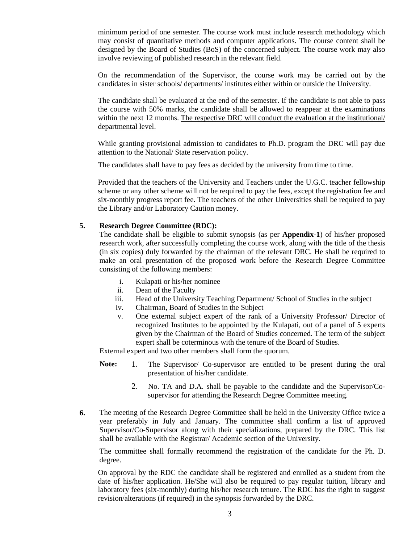minimum period of one semester. The course work must include research methodology which may consist of quantitative methods and computer applications. The course content shall be designed by the Board of Studies (BoS) of the concerned subject. The course work may also involve reviewing of published research in the relevant field.

On the recommendation of the Supervisor, the course work may be carried out by the candidates in sister schools/ departments/ institutes either within or outside the University.

The candidate shall be evaluated at the end of the semester. If the candidate is not able to pass the course with 50% marks, the candidate shall be allowed to reappear at the examinations within the next 12 months. The respective DRC will conduct the evaluation at the institutional/ departmental level.

While granting provisional admission to candidates to Ph.D. program the DRC will pay due attention to the National/ State reservation policy.

The candidates shall have to pay fees as decided by the university from time to time.

Provided that the teachers of the University and Teachers under the U.G.C. teacher fellowship scheme or any other scheme will not be required to pay the fees, except the registration fee and six-monthly progress report fee. The teachers of the other Universities shall be required to pay the Library and/or Laboratory Caution money.

## **5. Research Degree Committee (RDC):**

The candidate shall be eligible to submit synopsis (as per **Appendix-1**) of his/her proposed research work, after successfully completing the course work, along with the title of the thesis (in six copies) duly forwarded by the chairman of the relevant DRC. He shall be required to make an oral presentation of the proposed work before the Research Degree Committee consisting of the following members:

- i. Kulapati or his/her nominee
- ii. Dean of the Faculty
- iii. Head of the University Teaching Department/ School of Studies in the subject
- iv. Chairman, Board of Studies in the Subject
- v. One external subject expert of the rank of a University Professor/ Director of recognized Institutes to be appointed by the Kulapati, out of a panel of 5 experts given by the Chairman of the Board of Studies concerned. The term of the subject expert shall be coterminous with the tenure of the Board of Studies.

External expert and two other members shall form the quorum.

- **Note:** 1. The Supervisor/ Co-supervisor are entitled to be present during the oral presentation of his/her candidate.
	- 2. No. TA and D.A. shall be payable to the candidate and the Supervisor/Cosupervisor for attending the Research Degree Committee meeting.
- **6.** The meeting of the Research Degree Committee shall be held in the University Office twice a year preferably in July and January. The committee shall confirm a list of approved Supervisor/Co-Supervisor along with their specializations, prepared by the DRC. This list shall be available with the Registrar/ Academic section of the University.

The committee shall formally recommend the registration of the candidate for the Ph. D. degree.

On approval by the RDC the candidate shall be registered and enrolled as a student from the date of his/her application. He/She will also be required to pay regular tuition, library and laboratory fees (six-monthly) during his/her research tenure. The RDC has the right to suggest revision/alterations (if required) in the synopsis forwarded by the DRC.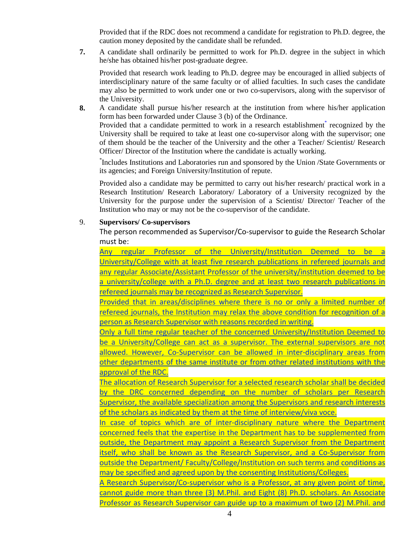Provided that if the RDC does not recommend a candidate for registration to Ph.D. degree, the caution money deposited by the candidate shall be refunded.

**7.** A candidate shall ordinarily be permitted to work for Ph.D. degree in the subject in which he/she has obtained his/her post-graduate degree.

Provided that research work leading to Ph.D. degree may be encouraged in allied subjects of interdisciplinary nature of the same faculty or of allied faculties. In such cases the candidate may also be permitted to work under one or two co-supervisors, along with the supervisor of the University.

**8.** A candidate shall pursue his/her research at the institution from where his/her application form has been forwarded under Clause 3 (b) of the Ordinance.

Provided that a candidate permitted to work in a research establishment<sup>\*</sup> recognized by the University shall be required to take at least one co-supervisor along with the supervisor; one of them should be the teacher of the University and the other a Teacher/ Scientist/ Research Officer/ Director of the Institution where the candidate is actually working.

\* Includes Institutions and Laboratories run and sponsored by the Union /State Governments or its agencies; and Foreign University/Institution of repute.

Provided also a candidate may be permitted to carry out his/her research/ practical work in a Research Institution/ Research Laboratory/ Laboratory of a University recognized by the University for the purpose under the supervision of a Scientist/ Director/ Teacher of the Institution who may or may not be the co-supervisor of the candidate.

## 9. **Supervisors/ Co-supervisors**

The person recommended as Supervisor/Co-supervisor to guide the Research Scholar must be:

Any regular Professor of the University/Institution Deemed to be University/College with at least five research publications in refereed journals and any regular Associate/Assistant Professor of the university/institution deemed to be a university/college with a Ph.D. degree and at least two research publications in refereed journals may be recognized as Research Supervisor.

Provided that in areas/disciplines where there is no or only a limited number of refereed journals, the Institution may relax the above condition for recognition of a person as Research Supervisor with reasons recorded in writing.

Only a full time regular teacher of the concerned University/Institution Deemed to be a University/College can act as a supervisor. The external supervisors are not allowed. However, Co-Supervisor can be allowed in inter-disciplinary areas from other departments of the same institute or from other related institutions with the approval of the RDC.

The allocation of Research Supervisor for a selected research scholar shall be decided by the DRC concerned depending on the number of scholars per Research Supervisor, the available specialization among the Supervisors and research interests of the scholars as indicated by them at the time of interview/viva voce.

In case of topics which are of inter-disciplinary nature where the Department concerned feels that the expertise in the Department has to be supplemented from outside, the Department may appoint a Research Supervisor from the Department itself, who shall be known as the Research Supervisor, and a Co-Supervisor from outside the Department/ Faculty/College/Institution on such terms and conditions as may be specified and agreed upon by the consenting Institutions/Colleges.

A Research Supervisor/Co-supervisor who is a Professor, at any given point of time, cannot guide more than three (3) M.Phil. and Eight (8) Ph.D. scholars. An Associate Professor as Research Supervisor can guide up to a maximum of two (2) M.Phil. and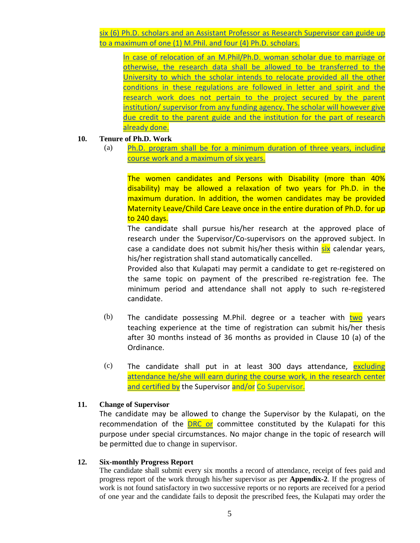six (6) Ph.D. scholars and an Assistant Professor as Research Supervisor can guide up to a maximum of one (1) M.Phil. and four (4) Ph.D. scholars.

In case of relocation of an M.Phil/Ph.D. woman scholar due to marriage or otherwise, the research data shall be allowed to be transferred to the University to which the scholar intends to relocate provided all the other conditions in these regulations are followed in letter and spirit and the research work does not pertain to the project secured by the parent institution/ supervisor from any funding agency. The scholar will however give due credit to the parent guide and the institution for the part of research already done.

#### **10. Tenure of Ph.D. Work**

(a) Ph.D. program shall be for a minimum duration of three years, including course work and a maximum of six years.

The women candidates and Persons with Disability (more than 40% disability) may be allowed a relaxation of two years for Ph.D. in the maximum duration. In addition, the women candidates may be provided Maternity Leave/Child Care Leave once in the entire duration of Ph.D. for up to 240 days.

The candidate shall pursue his/her research at the approved place of research under the Supervisor/Co-supervisors on the approved subject. In case a candidate does not submit his/her thesis within six calendar years, his/her registration shall stand automatically cancelled.

Provided also that Kulapati may permit a candidate to get re-registered on the same topic on payment of the prescribed re-registration fee. The minimum period and attendance shall not apply to such re-registered candidate.

- (b) The candidate possessing M.Phil. degree or a teacher with  $two$  years teaching experience at the time of registration can submit his/her thesis after 30 months instead of 36 months as provided in Clause 10 (a) of the Ordinance.
- $(c)$  The candidate shall put in at least 300 days attendance, excluding attendance he/she will earn during the course work, in the research center and certified by the Supervisor and/or Co Supervisor.

#### **11. Change of Supervisor**

The candidate may be allowed to change the Supervisor by the Kulapati, on the recommendation of the **DRC or** committee constituted by the Kulapati for this purpose under special circumstances. No major change in the topic of research will be permitted due to change in supervisor.

#### **12. Six-monthly Progress Report**

The candidate shall submit every six months a record of attendance, receipt of fees paid and progress report of the work through his/her supervisor as per **Appendix-2**. If the progress of work is not found satisfactory in two successive reports or no reports are received for a period of one year and the candidate fails to deposit the prescribed fees, the Kulapati may order the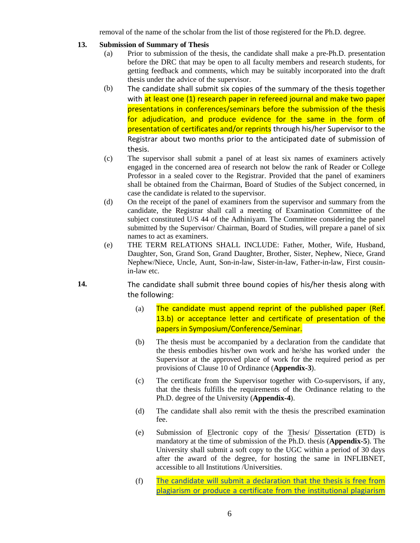removal of the name of the scholar from the list of those registered for the Ph.D. degree.

- **13. Submission of Summary of Thesis**
	- (a) Prior to submission of the thesis, the candidate shall make a pre-Ph.D. presentation before the DRC that may be open to all faculty members and research students, for getting feedback and comments, which may be suitably incorporated into the draft thesis under the advice of the supervisor.
	- (b) The candidate shall submit six copies of the summary of the thesis together with at least one (1) research paper in refereed journal and make two paper presentations in conferences/seminars before the submission of the thesis for adjudication, and produce evidence for the same in the form of presentation of certificates and/or reprints through his/her Supervisor to the Registrar about two months prior to the anticipated date of submission of thesis.
	- (c) The supervisor shall submit a panel of at least six names of examiners actively engaged in the concerned area of research not below the rank of Reader or College Professor in a sealed cover to the Registrar. Provided that the panel of examiners shall be obtained from the Chairman, Board of Studies of the Subject concerned, in case the candidate is related to the supervisor.
	- (d) On the receipt of the panel of examiners from the supervisor and summary from the candidate, the Registrar shall call a meeting of Examination Committee of the subject constituted U/S 44 of the Adhiniyam. The Committee considering the panel submitted by the Supervisor/ Chairman, Board of Studies, will prepare a panel of six names to act as examiners.
	- (e) THE TERM RELATIONS SHALL INCLUDE: Father, Mother, Wife, Husband, Daughter, Son, Grand Son, Grand Daughter, Brother, Sister, Nephew, Niece, Grand Nephew/Niece, Uncle, Aunt, Son-in-law, Sister-in-law, Father-in-law, First cousinin-law etc.
- **14.** The candidate shall submit three bound copies of his/her thesis along with the following:
	- $(a)$  The candidate must append reprint of the published paper (Ref. 13.b) or acceptance letter and certificate of presentation of the papers in Symposium/Conference/Seminar.
	- (b) The thesis must be accompanied by a declaration from the candidate that the thesis embodies his/her own work and he/she has worked under the Supervisor at the approved place of work for the required period as per provisions of Clause 10 of Ordinance (**Appendix-3**).
	- (c) The certificate from the Supervisor together with Co-supervisors, if any, that the thesis fulfills the requirements of the Ordinance relating to the Ph.D. degree of the University (**Appendix-4**).
	- (d) The candidate shall also remit with the thesis the prescribed examination fee.
	- (e) Submission of Electronic copy of the Thesis/ Dissertation (ETD) is mandatory at the time of submission of the Ph.D. thesis (**Appendix-5**). The University shall submit a soft copy to the UGC within a period of 30 days after the award of the degree, for hosting the same in INFLIBNET, accessible to all Institutions /Universities.
	- (f) The candidate will submit a declaration that the thesis is free from plagiarism or produce a certificate from the institutional plagiarism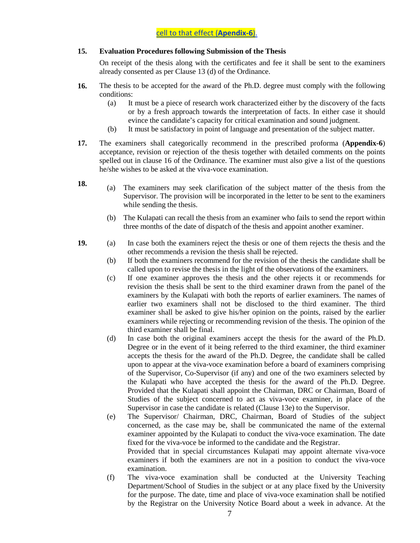## **15. Evaluation Procedures following Submission of the Thesis**

On receipt of the thesis along with the certificates and fee it shall be sent to the examiners already consented as per Clause 13 (d) of the Ordinance.

- **16.** The thesis to be accepted for the award of the Ph.D. degree must comply with the following conditions:
	- (a) It must be a piece of research work characterized either by the discovery of the facts or by a fresh approach towards the interpretation of facts. In either case it should evince the candidate's capacity for critical examination and sound judgment.
	- (b) It must be satisfactory in point of language and presentation of the subject matter.
- **17.** The examiners shall categorically recommend in the prescribed proforma (**Appendix-6**) acceptance, revision or rejection of the thesis together with detailed comments on the points spelled out in clause 16 of the Ordinance. The examiner must also give a list of the questions he/she wishes to be asked at the viva-voce examination.
- **18.** (a) The examiners may seek clarification of the subject matter of the thesis from the Supervisor. The provision will be incorporated in the letter to be sent to the examiners while sending the thesis.
	- (b) The Kulapati can recall the thesis from an examiner who fails to send the report within three months of the date of dispatch of the thesis and appoint another examiner.
- **19.** (a) In case both the examiners reject the thesis or one of them rejects the thesis and the other recommends a revision the thesis shall be rejected.
	- (b) If both the examiners recommend for the revision of the thesis the candidate shall be called upon to revise the thesis in the light of the observations of the examiners.
	- (c) If one examiner approves the thesis and the other rejects it or recommends for revision the thesis shall be sent to the third examiner drawn from the panel of the examiners by the Kulapati with both the reports of earlier examiners. The names of earlier two examiners shall not be disclosed to the third examiner. The third examiner shall be asked to give his/her opinion on the points, raised by the earlier examiners while rejecting or recommending revision of the thesis. The opinion of the third examiner shall be final.
	- (d) In case both the original examiners accept the thesis for the award of the Ph.D. Degree or in the event of it being referred to the third examiner, the third examiner accepts the thesis for the award of the Ph.D. Degree, the candidate shall be called upon to appear at the viva-voce examination before a board of examiners comprising of the Supervisor, Co-Supervisor (if any) and one of the two examiners selected by the Kulapati who have accepted the thesis for the award of the Ph.D. Degree. Provided that the Kulapati shall appoint the Chairman, DRC or Chairman, Board of Studies of the subject concerned to act as viva-voce examiner, in place of the Supervisor in case the candidate is related (Clause 13e) to the Supervisor.
	- (e) The Supervisor/ Chairman, DRC, Chairman, Board of Studies of the subject concerned, as the case may be, shall be communicated the name of the external examiner appointed by the Kulapati to conduct the viva-voce examination. The date fixed for the viva-voce be informed to the candidate and the Registrar. Provided that in special circumstances Kulapati may appoint alternate viva-voce

examiners if both the examiners are not in a position to conduct the viva-voce examination.

(f) The viva-voce examination shall be conducted at the University Teaching Department/School of Studies in the subject or at any place fixed by the University for the purpose. The date, time and place of viva-voce examination shall be notified by the Registrar on the University Notice Board about a week in advance. At the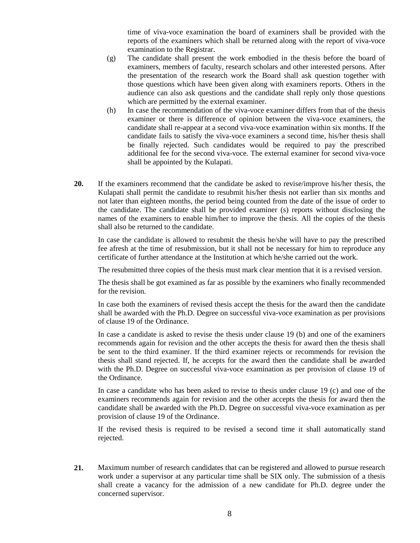time of viva-voce examination the board of examiners shall be provided with the reports of the examiners which shall be returned along with the report of viva-voce examination to the Registrar.

- (g) The candidate shall present the work embodied in the thesis before the board of examiners, members of faculty, research scholars and other interested persons. After the presentation of the research work the Board shall ask question together with those questions which have been given along with examiners reports. Others in the audience can also ask questions and the candidate shall reply only those questions which are permitted by the external examiner.
- (h) In case the recommendation of the viva-voce examiner differs from that of the thesis examiner or there is difference of opinion between the viva-voce examiners, the candidate shall re-appear at a second viva-voce examination within six months. If the candidate fails to satisfy the viva-voce examiners a second time, his/her thesis shall be finally rejected. Such candidates would be required to pay the prescribed additional fee for the second viva-voce. The external examiner for second viva-voce shall be appointed by the Kulapati.
- **20.** If the examiners recommend that the candidate be asked to revise/improve his/her thesis, the Kulapati shall permit the candidate to resubmit his/her thesis not earlier than six months and not later than eighteen months, the period being counted from the date of the issue of order to the candidate. The candidate shall be provided examiner (s) reports without disclosing the names of the examiners to enable him/her to improve the thesis. All the copies of the thesis shall also be returned to the candidate.

In case the candidate is allowed to resubmit the thesis he/she will have to pay the prescribed fee afresh at the time of resubmission, but it shall not be necessary for him to reproduce any certificate of further attendance at the Institution at which he/she carried out the work.

The resubmitted three copies of the thesis must mark clear mention that it is a revised version.

The thesis shall be got examined as far as possible by the examiners who finally recommended for the revision.

In case both the examiners of revised thesis accept the thesis for the award then the candidate shall be awarded with the Ph.D. Degree on successful viva-voce examination as per provisions of clause 19 of the Ordinance.

In case a candidate is asked to revise the thesis under clause 19 (b) and one of the examiners recommends again for revision and the other accepts the thesis for award then the thesis shall be sent to the third examiner. If the third examiner rejects or recommends for revision the thesis shall stand rejected. If, he accepts for the award then the candidate shall be awarded with the Ph.D. Degree on successful viva-voce examination as per provision of clause 19 of the Ordinance.

In case a candidate who has been asked to revise to thesis under clause 19 (c) and one of the examiners recommends again for revision and the other accepts the thesis for award then the candidate shall be awarded with the Ph.D. Degree on successful viva-voce examination as per provision of clause 19 of the Ordinance.

If the revised thesis is required to be revised a second time it shall automatically stand rejected.

**21.** Maximum number of research candidates that can be registered and allowed to pursue research work under a supervisor at any particular time shall be SIX only. The submission of a thesis shall create a vacancy for the admission of a new candidate for Ph.D. degree under the concerned supervisor.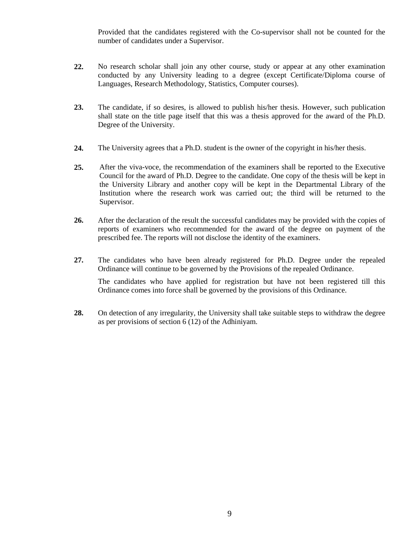Provided that the candidates registered with the Co-supervisor shall not be counted for the number of candidates under a Supervisor.

- **22.** No research scholar shall join any other course, study or appear at any other examination conducted by any University leading to a degree (except Certificate/Diploma course of Languages, Research Methodology, Statistics, Computer courses).
- **23.** The candidate, if so desires, is allowed to publish his/her thesis. However, such publication shall state on the title page itself that this was a thesis approved for the award of the Ph.D. Degree of the University.
- **24.** The University agrees that a Ph.D. student is the owner of the copyright in his/her thesis.
- **25.** After the viva-voce, the recommendation of the examiners shall be reported to the Executive Council for the award of Ph.D. Degree to the candidate. One copy of the thesis will be kept in the University Library and another copy will be kept in the Departmental Library of the Institution where the research work was carried out; the third will be returned to the Supervisor.
- **26.** After the declaration of the result the successful candidates may be provided with the copies of reports of examiners who recommended for the award of the degree on payment of the prescribed fee. The reports will not disclose the identity of the examiners.
- **27.** The candidates who have been already registered for Ph.D. Degree under the repealed Ordinance will continue to be governed by the Provisions of the repealed Ordinance. The candidates who have applied for registration but have not been registered till this Ordinance comes into force shall be governed by the provisions of this Ordinance.
- **28.** On detection of any irregularity, the University shall take suitable steps to withdraw the degree as per provisions of section 6 (12) of the Adhiniyam.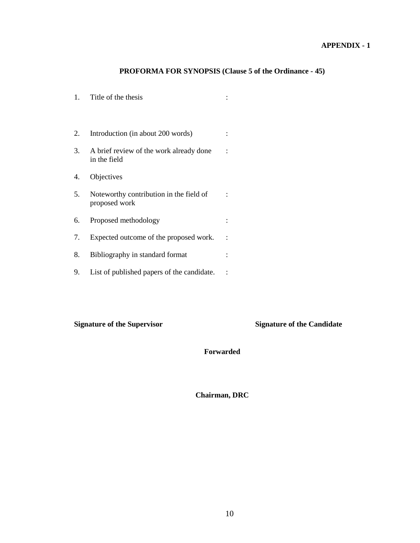## **APPENDIX - 1**

## **PROFORMA FOR SYNOPSIS (Clause 5 of the Ordinance - 45)**

| 1. | Title of the thesis                                      |  |
|----|----------------------------------------------------------|--|
| 2. | Introduction (in about 200 words)                        |  |
| 3. | A brief review of the work already done<br>in the field  |  |
| 4. | Objectives                                               |  |
| 5. | Noteworthy contribution in the field of<br>proposed work |  |
| 6. | Proposed methodology                                     |  |
| 7. | Expected outcome of the proposed work.                   |  |
| 8. | Bibliography in standard format                          |  |
| 9. | List of published papers of the candidate.               |  |

**Signature of the Supervisor** Signature of the Candidate

**Forwarded**

**Chairman, DRC**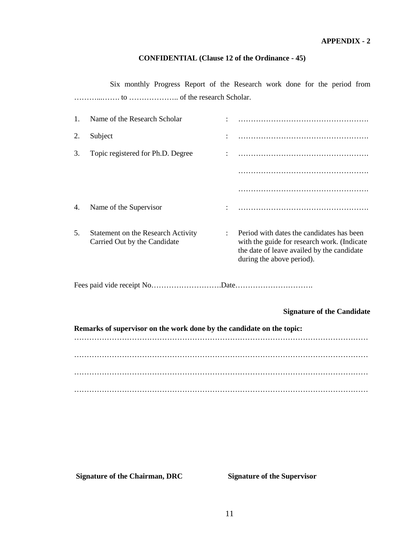## **CONFIDENTIAL (Clause 12 of the Ordinance - 45)**

Six monthly Progress Report of the Research work done for the period from ………...……. to ……………….. of the research Scholar.

| 1. | Name of the Research Scholar                                          |                                                                                                                                                                     |
|----|-----------------------------------------------------------------------|---------------------------------------------------------------------------------------------------------------------------------------------------------------------|
| 2. | Subject                                                               |                                                                                                                                                                     |
| 3. | Topic registered for Ph.D. Degree                                     |                                                                                                                                                                     |
|    |                                                                       |                                                                                                                                                                     |
|    |                                                                       |                                                                                                                                                                     |
| 4. | Name of the Supervisor                                                |                                                                                                                                                                     |
| 5. | Statement on the Research Activity<br>Carried Out by the Candidate    | Period with dates the candidates has been<br>with the guide for research work. (Indicate<br>the date of leave availed by the candidate<br>during the above period). |
|    |                                                                       |                                                                                                                                                                     |
|    |                                                                       | <b>Signature of the Candidate</b>                                                                                                                                   |
|    | Remarks of supervisor on the work done by the candidate on the topic: |                                                                                                                                                                     |
|    |                                                                       |                                                                                                                                                                     |
|    |                                                                       |                                                                                                                                                                     |
|    |                                                                       |                                                                                                                                                                     |
|    |                                                                       |                                                                                                                                                                     |

**Signature of the Chairman, DRC** Signature of the Supervisor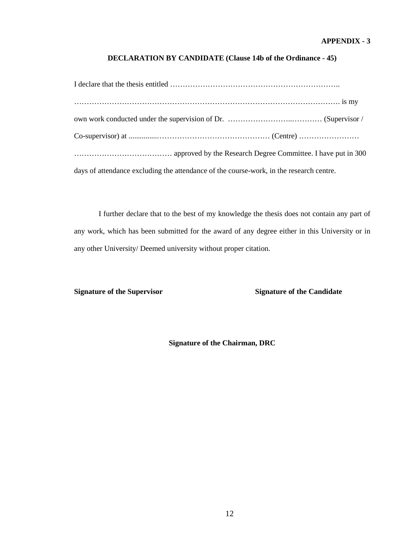## **APPENDIX - 3**

## **DECLARATION BY CANDIDATE (Clause 14b of the Ordinance - 45)**

| days of attendance excluding the attendance of the course-work, in the research centre. |
|-----------------------------------------------------------------------------------------|

I further declare that to the best of my knowledge the thesis does not contain any part of any work, which has been submitted for the award of any degree either in this University or in any other University/ Deemed university without proper citation.

**Signature of the Supervisor** Signature of the Candidate

**Signature of the Chairman, DRC**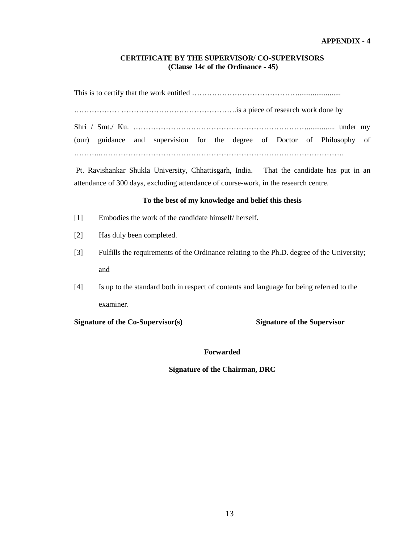## **CERTIFICATE BY THE SUPERVISOR/ CO-SUPERVISORS (Clause 14c of the Ordinance - 45)**

This is to certify that the work entitled …………………………………….......................

……………… ……………………………………….is a piece of research work done by

Shri / Smt./ Ku. ……………………………………………………………............... under my (our) guidance and supervision for the degree of Doctor of Philosophy of ………..…………………………………………………………………………………….

Pt. Ravishankar Shukla University, Chhattisgarh, India. That the candidate has put in an attendance of 300 days, excluding attendance of course-work, in the research centre.

## **To the best of my knowledge and belief this thesis**

- [1] Embodies the work of the candidate himself/ herself.
- [2] Has duly been completed.
- [3] Fulfills the requirements of the Ordinance relating to the Ph.D. degree of the University; and
- [4] Is up to the standard both in respect of contents and language for being referred to the examiner.

**Signature of the Co-Supervisor(s) Signature of the Supervisor**

#### **Forwarded**

### **Signature of the Chairman, DRC**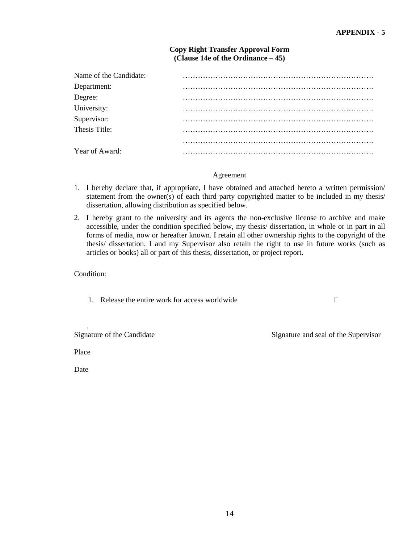| <b>Copy Right Transfer Approval Form</b> |
|------------------------------------------|
| (Clause 14e of the Ordinance $-45$ )     |

| Name of the Candidate: |  |
|------------------------|--|
| Department:            |  |
| Degree:<br>University: |  |
|                        |  |
| Supervisor:            |  |
| Thesis Title:          |  |
|                        |  |
| Year of Award:         |  |

### Agreement

- 1. I hereby declare that, if appropriate, I have obtained and attached hereto a written permission/ statement from the owner(s) of each third party copyrighted matter to be included in my thesis/ dissertation, allowing distribution as specified below.
- 2. I hereby grant to the university and its agents the non-exclusive license to archive and make accessible, under the condition specified below, my thesis/ dissertation, in whole or in part in all forms of media, now or hereafter known. I retain all other ownership rights to the copyright of the thesis/ dissertation. I and my Supervisor also retain the right to use in future works (such as articles or books) all or part of this thesis, dissertation, or project report.

Condition:

1. Release the entire work for access worldwide  $\Box$ 

Signature of the Candidate Signature and seal of the Supervisor

Place

.

Date